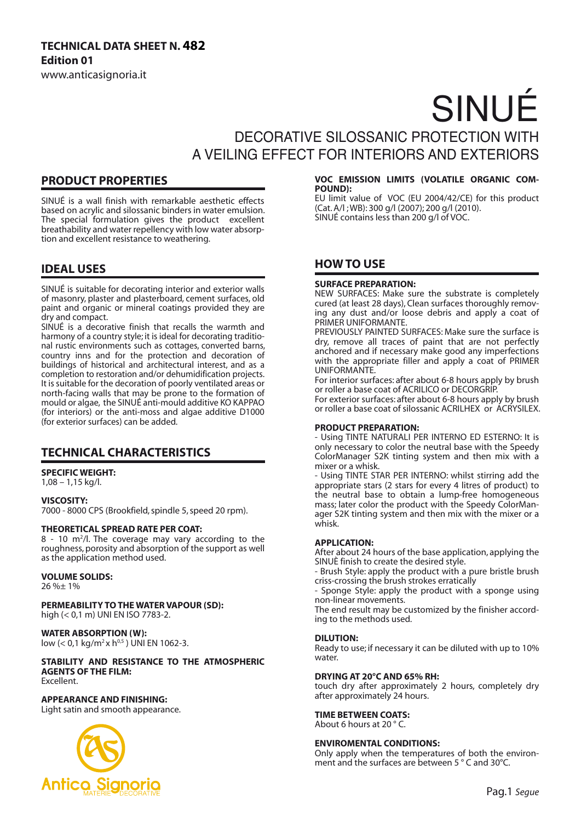# **TECHNICAL DATA SHEET N. 482 Edition 01**

www.anticasignoria.it

# SINUÉ

# DECORATIVE SILOSSANIC PROTECTION WITH A VEILING EFFECT FOR INTERIORS AND EXTERIORS

## **PRODUCT PROPERTIES**

SINUÉ is a wall finish with remarkable aesthetic effects based on acrylic and silossanic binders in water emulsion. The special formulation gives the product excellent breathability and water repellency with low water absorption and excellent resistance to weathering.

## **IDEAL USES**

SINUÉ is suitable for decorating interior and exterior walls of masonry, plaster and plasterboard, cement surfaces, old paint and organic or mineral coatings provided they are dry and compact.

SINUÉ is a decorative finish that recalls the warmth and harmony of a country style; it is ideal for decorating traditional rustic environments such as cottages, converted barns, country inns and for the protection and decoration of buildings of historical and architectural interest, and as a completion to restoration and/or dehumidification projects. It is suitable for the decoration of poorly ventilated areas or north-facing walls that may be prone to the formation of mould or algae, the SINUÉ anti-mould additive KO KAPPAO (for interiors) or the anti-moss and algae additive D1000 (for exterior surfaces) can be added.

## **TECHNICAL CHARACTERISTICS**

#### **SPECIFIC WEIGHT:**

1,08 – 1,15 kg/l.

**VISCOSITY:**

7000 - 8000 CPS (Brookfield, spindle 5, speed 20 rpm).

#### **THEORETICAL SPREAD RATE PER COAT:**

8 - 10 m2 /l. The coverage may vary according to the roughness, porosity and absorption of the support as well as the application method used.

### **VOLUME SOLIDS:**

26 %± 1%

**PERMEABILITY TO THE WATER VAPOUR (SD):** high (< 0,1 m) UNI EN ISO 7783-2.

#### **WATER ABSORPTION (W):**

low (< 0,1 kg/m<sup>2</sup> x h<sup>0,5</sup>) UNI EN 1062-3.

### **STABILITY AND RESISTANCE TO THE ATMOSPHERIC AGENTS OF THE FILM:**

Excellent.

#### **APPEARANCE AND FINISHING:**

Light satin and smooth appearance.



#### **VOC EMISSION LIMITS (VOLATILE ORGANIC COM-POUND):**

EU limit value of VOC (EU 2004/42/CE) for this product (Cat. A/l ; WB): 300 g/l (2007); 200 g/l (2010). SINUÉ contains less than 200 g/l of VOC.

## **HOW TO USE**

#### **SURFACE PREPARATION:**

NEW SURFACES: Make sure the substrate is completely cured (at least 28 days), Clean surfaces thoroughly removing any dust and/or loose debris and apply a coat of PRIMER UNIFORMANTE.

PREVIOUSLY PAINTED SURFACES: Make sure the surface is dry, remove all traces of paint that are not perfectly anchored and if necessary make good any imperfections with the appropriate filler and apply a coat of PRIMER UNIFORMANTE.

For interior surfaces: after about 6-8 hours apply by brush or roller a base coat of ACRILICO or DECORGRIP.

For exterior surfaces: after about 6-8 hours apply by brush or roller a base coat of silossanic ACRILHEX or ACRYSILEX.

#### **PRODUCT PREPARATION:**

- Using TINTE NATURALI PER INTERNO ED ESTERNO: It is only necessary to color the neutral base with the Speedy ColorManager S2K tinting system and then mix with a mixer or a whisk.

- Using TINTE STAR PER INTERNO: whilst stirring add the appropriate stars (2 stars for every 4 litres of product) to the neutral base to obtain a lump-free homogeneous mass; later color the product with the Speedy ColorManager S2K tinting system and then mix with the mixer or a whisk.

#### **APPLICATION:**

After about 24 hours of the base application, applying the SINUÈ finish to create the desired style.

- Brush Style: apply the product with a pure bristle brush criss-crossing the brush strokes erratically

- Sponge Style: apply the product with a sponge using non-linear movements.

The end result may be customized by the finisher according to the methods used.

#### **DILUTION:**

Ready to use; if necessary it can be diluted with up to 10% water.

#### **DRYING AT 20°C AND 65% RH:**

touch dry after approximately 2 hours, completely dry after approximately 24 hours.

#### **TIME BETWEEN COATS:**

About 6 hours at 20 ° C.

#### **ENVIROMENTAL CONDITIONS:**

Only apply when the temperatures of both the environment and the surfaces are between 5 ° C and 30°C.